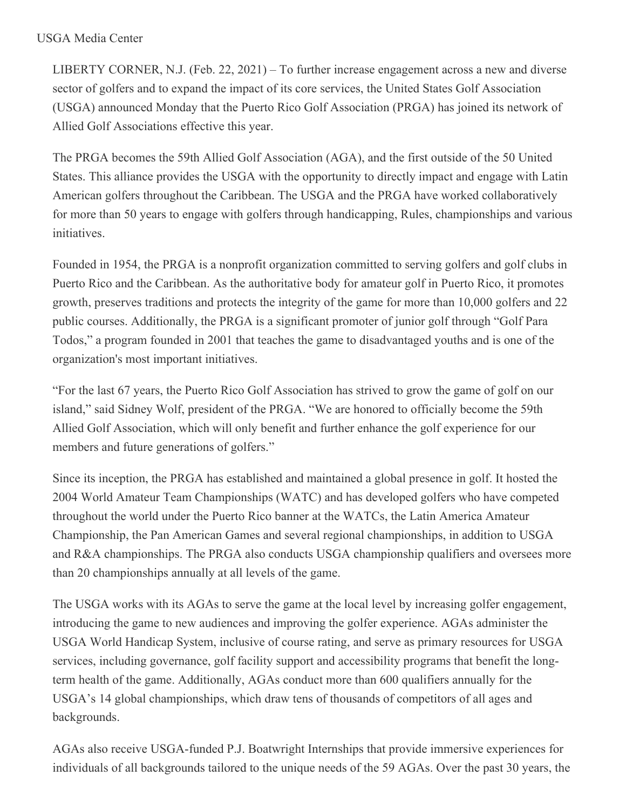## USGA Media Center

LIBERTY CORNER, N.J. (Feb. 22, 2021) – To further increase engagement across a new and diverse sector of golfers and to expand the impact of its core services, the United States Golf Association (USGA) announced Monday that the Puerto Rico Golf Association (PRGA) has joined its network of Allied Golf Associations effective this year.

The PRGA becomes the 59th Allied Golf Association (AGA), and the first outside of the 50 United States. This alliance provides the USGA with the opportunity to directly impact and engage with Latin American golfers throughout the Caribbean. The USGA and the PRGA have worked collaboratively for more than 50 years to engage with golfers through handicapping, Rules, championships and various initiatives.

Founded in 1954, the PRGA is a nonprofit organization committed to serving golfers and golf clubs in Puerto Rico and the Caribbean. As the authoritative body for amateur golf in Puerto Rico, it promotes growth, preserves traditions and protects the integrity of the game for more than 10,000 golfers and 22 public courses. Additionally, the PRGA is a significant promoter of junior golf through "Golf Para Todos," a program founded in 2001 that teaches the game to disadvantaged youths and is one of the organization's most important initiatives.

"For the last 67 years, the Puerto Rico Golf Association has strived to grow the game of golf on our island," said Sidney Wolf, president of the PRGA. "We are honored to officially become the 59th Allied Golf Association, which will only benefit and further enhance the golf experience for our members and future generations of golfers."

Since its inception, the PRGA has established and maintained a global presence in golf. It hosted the 2004 World Amateur Team Championships (WATC) and has developed golfers who have competed throughout the world under the Puerto Rico banner at the WATCs, the Latin America Amateur Championship, the Pan American Games and several regional championships, in addition to USGA and R&A championships. The PRGA also conducts USGA championship qualifiers and oversees more than 20 championships annually at all levels of the game.

The USGA works with its AGAs to serve the game at the local level by increasing golfer engagement, introducing the game to new audiences and improving the golfer experience. AGAs administer the USGA World Handicap System, inclusive of course rating, and serve as primary resources for USGA services, including governance, golf facility support and accessibility programs that benefit the longterm health of the game. Additionally, AGAs conduct more than 600 qualifiers annually for the USGA's 14 global championships, which draw tens of thousands of competitors of all ages and backgrounds.

AGAs also receive USGA-funded P.J. Boatwright Internships that provide immersive experiences for individuals of all backgrounds tailored to the unique needs of the 59 AGAs. Over the past 30 years, the